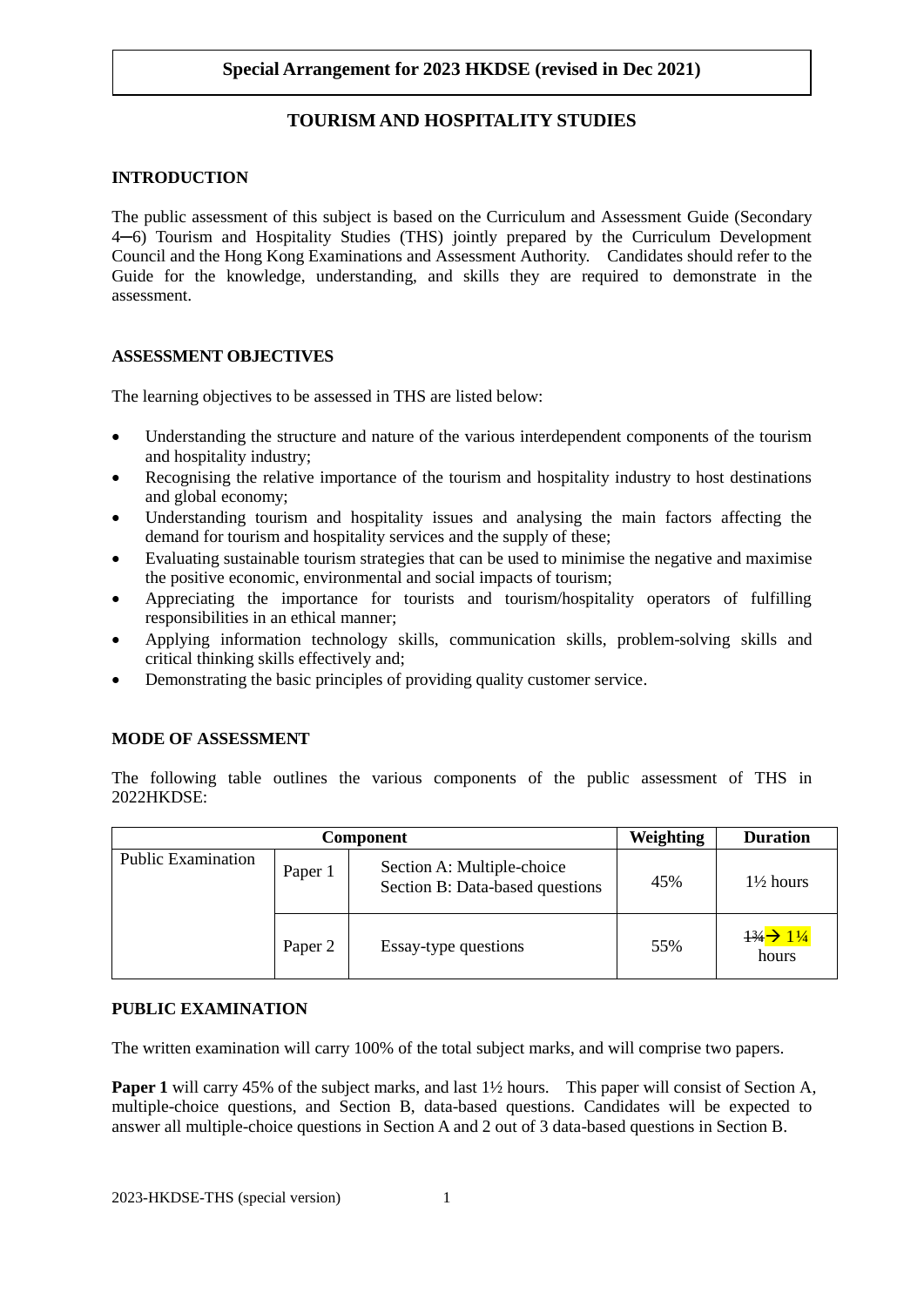# **TOURISM AND HOSPITALITY STUDIES**

### **INTRODUCTION**

 The public assessment of this subject is based on the Curriculum and Assessment Guide (Secondary 4─6) Tourism and Hospitality Studies (THS) jointly prepared by the Curriculum Development Guide for the knowledge, understanding, and skills they are required to demonstrate in the Council and the Hong Kong Examinations and Assessment Authority. Candidates should refer to the assessment.

## **ASSESSMENT OBJECTIVES**

The learning objectives to be assessed in THS are listed below:

- • Understanding the structure and nature of the various interdependent components of the tourism and hospitality industry;
- • Recognising the relative importance of the tourism and hospitality industry to host destinations and global economy;
- • Understanding tourism and hospitality issues and analysing the main factors affecting the demand for tourism and hospitality services and the supply of these;
- the positive economic, environmental and social impacts of tourism; • Evaluating sustainable tourism strategies that can be used to minimise the negative and maximise
- • Appreciating the importance for tourists and tourism/hospitality operators of fulfilling responsibilities in an ethical manner;
- Applying information technology skills, communication skills, problem-solving skills and critical thinking skills effectively and;
- Demonstrating the basic principles of providing quality customer service.

## **MODE OF ASSESSMENT**

 The following table outlines the various components of the public assessment of THS in 2022HKDSE:

| Component                 |         |                                                               | <b>Weighting</b> | <b>Duration</b>                                      |
|---------------------------|---------|---------------------------------------------------------------|------------------|------------------------------------------------------|
| <b>Public Examination</b> | Paper 1 | Section A: Multiple-choice<br>Section B: Data-based questions | 45%              | $1\frac{1}{2}$ hours                                 |
|                           | Paper 2 | Essay-type questions                                          | 55%              | $\frac{13}{4}$ $\rightarrow$ $\frac{11}{4}$<br>hours |

### **PUBLIC EXAMINATION**

The written examination will carry 100% of the total subject marks, and will comprise two papers.

**Paper 1** will carry 45% of the subject marks, and last 1<sup>1</sup>/<sub>2</sub> hours. This paper will consist of Section A, multiple-choice questions, and Section B, data-based questions. Candidates will be expected to answer all multiple-choice questions in Section A and 2 out of 3 data-based questions in Section B.